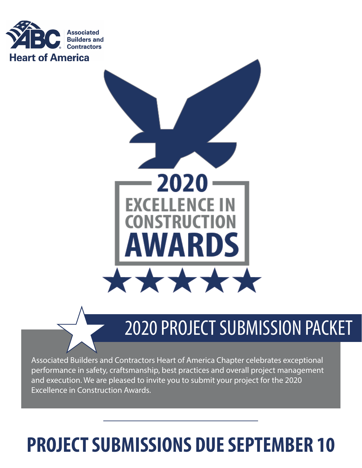



# 2020 PROJECT SUBMISSION PACKET

Associated Builders and Contractors Heart of America Chapter celebrates exceptional performance in safety, craftsmanship, best practices and overall project management and execution. We are pleased to invite you to submit your project for the 2020 Excellence in Construction Awards.

# **PROJECT SUBMISSIONS DUE SEPTEMBER 10**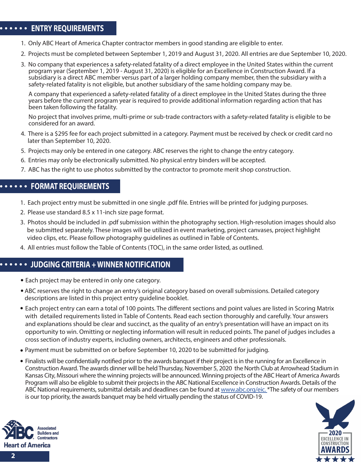#### **ENTRY REQUIREMENTS ENTRY REQUIREMENTS**

- 1. Only ABC Heart of America Chapter contractor members in good standing are eligible to enter.
- 2. Projects must be completed between September 1, 2019 and August 31, 2020. All entries are due September 10, 2020.
- 3. No company that experiences a safety-related fatality of a direct employee in the United States within the current program year (September 1, 2019 - August 31, 2020) is eligible for an Excellence in Construction Award. If a subsidiary is a direct ABC member versus part of a larger holding company member, then the subsidiary with a safety-related fatality is not eligible, but another subsidiary of the same holding company may be.

 A company that experienced a safety-related fatality of a direct employee in the United States during the three years before the current program year is required to provide additional information regarding action that has been taken following the fatality.

 No project that involves prime, multi-prime or sub-trade contractors with a safety-related fatality is eligible to be considered for an award.

- 4. There is a \$295 fee for each project submitted in a category. Payment must be received by check or credit card no later than September 10, 2020.
- 5. Projects may only be entered in one category. ABC reserves the right to change the entry category.
- 6. Entries may only be electronically submitted. No physical entry binders will be accepted.
- 7. ABC has the right to use photos submitted by the contractor to promote merit shop construction.

#### **FORMAT REQUIREMENTS**

- 1. Each project entry must be submitted in one single .pdf le. Entries will be printed for judging purposes.
- 2. Please use standard 8.5 x 11-inch size page format.
- 3. Photos should be included in .pdf submission within the photography section. High-resolution images should also be submitted separately. These images will be utilized in event marketing, project canvases, project highlight video clips, etc. Please follow photography guidelines as outlined in Table of Contents.
- 4. All entries must follow the Table of Contents (TOC), in the same order listed, as outlined.

#### **JUDGING CRITERIA + WINNER NOTIFICATION**

- Each project may be entered in only one category.
- ABC reserves the right to change an entry's original category based on overall submissions. Detailed category descriptions are listed in this project entry guideline booklet.
- Each project entry can earn a total of 100 points. The different sections and point values are listed in Scoring Matrix with detailed requirements listed in Table of Contents. Read each section thoroughly and carefully. Your answers and explanations should be clear and succinct, as the quality of an entry's presentation will have an impact on its opportunity to win. Omitting or neglecting information will result in reduced points. The panel of judges includes a cross section of industry experts, including owners, architects, engineers and other professionals.
- Payment must be submitted on or before September 10, 2020 to be submitted for judging.
- Finalists will be confidentially notified prior to the awards banquet if their project is in the running for an Excellence in Construction Award. The awards dinner will be held Thursday, November 5, 2020 the North Club at Arrowhead Stadium in Kansas City, Missouri where the winning projects will be announced. Winning projects of the ABC Heart of America Awards Program will also be eligible to submit their projects in the ABC National Excellence in Construction Awards. Details of the ABC National requirements, submittal details and deadlines can be found at www.abc.org/eic. \*The safety of our members is our top priority, the awards banquet may be held virtually pending the status of COVID-19.



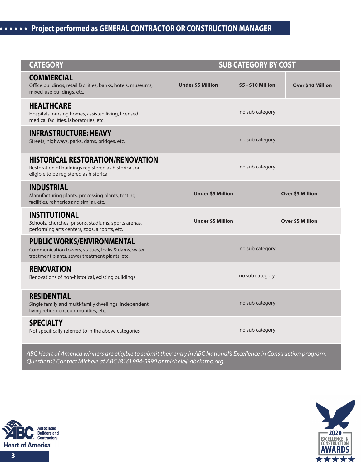## **Project performed as GENERAL CONTRACTOR OR CONSTRUCTION MANAGER**

| <b>CATEGORY</b>                                                                                                                              | <b>SUB CATEGORY BY COST</b> |  |                           |                          |
|----------------------------------------------------------------------------------------------------------------------------------------------|-----------------------------|--|---------------------------|--------------------------|
| <b>COMMERCIAL</b><br>Office buildings, retail facilities, banks, hotels, museums,<br>mixed-use buildings, etc.                               | <b>Under \$5 Million</b>    |  | <b>\$5 - \$10 Million</b> | <b>Over \$10 Million</b> |
| <b>HEALTHCARE</b><br>Hospitals, nursing homes, assisted living, licensed<br>medical facilities, laboratories, etc.                           |                             |  | no sub category           |                          |
| <b>INFRASTRUCTURE: HEAVY</b><br>Streets, highways, parks, dams, bridges, etc.                                                                | no sub category             |  |                           |                          |
| <b>HISTORICAL RESTORATION/RENOVATION</b><br>Restoration of buildings registered as historical, or<br>eligible to be registered as historical |                             |  | no sub category           |                          |
| <b>INDUSTRIAL</b><br>Manufacturing plants, processing plants, testing<br>facilities, refineries and similar, etc.                            | <b>Under \$5 Million</b>    |  |                           | <b>Over \$5 Million</b>  |
| <b>INSTITUTIONAL</b><br>Schools, churches, prisons, stadiums, sports arenas,<br>performing arts centers, zoos, airports, etc.                | <b>Under \$5 Million</b>    |  |                           | <b>Over \$5 Million</b>  |
| <b>PUBLIC WORKS/ENVIRONMENTAL</b><br>Communication towers, statues, locks & dams, water<br>treatment plants, sewer treatment plants, etc.    |                             |  | no sub category           |                          |
| <b>RENOVATION</b><br>Renovations of non-historical, existing buildings                                                                       |                             |  | no sub category           |                          |
| <b>RESIDENTIAL</b><br>Single family and multi-family dwellings, independent<br>living retirement communities, etc.                           |                             |  | no sub category           |                          |
| <b>SPECIALTY</b><br>Not specifically referred to in the above categories                                                                     |                             |  | no sub category           |                          |

*ABC Heart of America winners are eligible to submit their entry in ABC National's Excellence in Construction program. Questions? Contact Michele at ABC (816) 994-5990 or michele@abcksmo.org.*



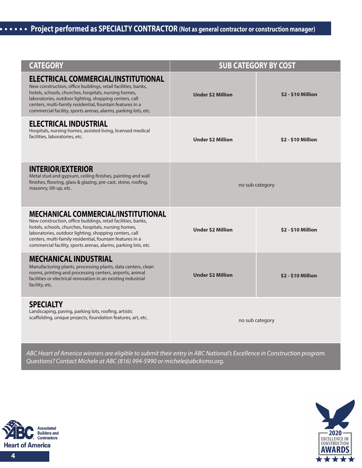# **Project performed as SPECIALTY CONTRACTOR (Not as general contractor or construction manager)**

| <b>CATEGORY</b>                                                                                                                                                                                                                                                                                                                                              |                          | <b>SUB CATEGORY BY COST</b> |
|--------------------------------------------------------------------------------------------------------------------------------------------------------------------------------------------------------------------------------------------------------------------------------------------------------------------------------------------------------------|--------------------------|-----------------------------|
| <b>ELECTRICAL COMMERCIAL/INSTITUTIONAL</b><br>New construction, office buildings, retail facilities, banks,<br>hotels, schools, churches, hospitals, nursing homes,<br>laboratories, outdoor lighting, shopping centers, call<br>centers, multi-family residential, fountain features in a<br>commercial facility, sports arenas, alarms, parking lots, etc. | <b>Under \$2 Million</b> | \$2 - \$10 Million          |
| <b>ELECTRICAL INDUSTRIAL</b><br>Hospitals, nursing homes, assisted living, licensed medical<br>facilities, laboratories, etc.                                                                                                                                                                                                                                | <b>Under \$2 Million</b> | <b>\$2 - \$10 Million</b>   |
| <b>INTERIOR/EXTERIOR</b><br>Metal stud and gypsum, ceiling finishes, painting and wall<br>finishes, flooring, glass & glazing, pre-cast, stone, roofing,<br>masonry, tilt-up, etc.                                                                                                                                                                           |                          | no sub category             |
| <b>MECHANICAL COMMERCIAL/INSTITUTIONAL</b><br>New construction, office buildings, retail facilities, banks,<br>hotels, schools, churches, hospitals, nursing homes,<br>laboratories, outdoor lighting, shopping centers, call<br>centers, multi-family residential, fountain features in a<br>commercial facility, sports arenas, alarms, parking lots, etc. | <b>Under \$2 Million</b> | <b>\$2 - \$10 Million</b>   |
| <b>MECHANICAL INDUSTRIAL</b><br>Manufacturing plants, processing plants, data centers, clean<br>rooms, printing and processing centers, airports, animal<br>facilities or electrical renovation in an existing industrial<br>facility, etc.                                                                                                                  | <b>Under \$2 Million</b> | \$2 - \$10 Million          |
| <b>SPECIALTY</b><br>Landscaping, paving, parking lots, roofing, artistic<br>scaffolding, unique projects, foundation features, art, etc.                                                                                                                                                                                                                     |                          | no sub category             |

*ABC Heart of America winners are eligible to submit their entry in ABC National's Excellence in Construction program. Questions? Contact Michele at ABC (816) 994-5990 or michele@abcksmo.org.*



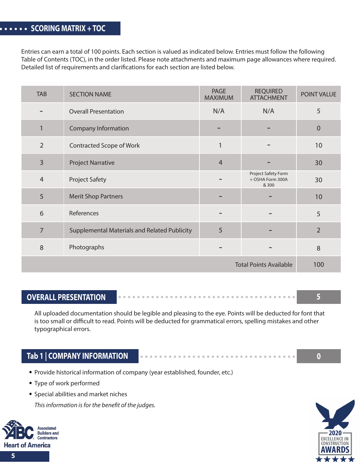Entries can earn a total of 100 points. Each section is valued as indicated below. Entries must follow the following Table of Contents (TOC), in the order listed. Please note attachments and maximum page allowances where required. Detailed list of requirements and clarifications for each section are listed below.

| <b>TAB</b>     | <b>SECTION NAME</b>                          | <b>PAGE</b><br><b>MAXIMUM</b> | <b>REQUIRED</b><br><b>ATTACHMENT</b>             | POINT VALUE    |
|----------------|----------------------------------------------|-------------------------------|--------------------------------------------------|----------------|
|                | <b>Overall Presentation</b>                  | N/A                           | N/A                                              | 5              |
| $\mathbf{1}$   | <b>Company Information</b>                   |                               |                                                  | $\theta$       |
| $\overline{2}$ | Contracted Scope of Work                     | 1                             |                                                  | 10             |
| $\overline{3}$ | <b>Project Narrative</b>                     | $\overline{4}$                |                                                  | 30             |
| $\overline{4}$ | <b>Project Safety</b>                        |                               | Project Safety Form<br>+ OSHA Form 300A<br>& 300 | 30             |
| 5              | <b>Merit Shop Partners</b>                   |                               |                                                  | 10             |
| 6              | References                                   |                               |                                                  | 5              |
| 7              | Supplemental Materials and Related Publicity | 5                             |                                                  | $\overline{2}$ |
| 8              | Photographs                                  |                               |                                                  | 8              |
|                |                                              |                               | <b>Total Points Available</b>                    | 100            |

#### **OVERALL PRESENTATION**

All uploaded documentation should be legible and pleasing to the eye. Points will be deducted for font that is too small or difficult to read. Points will be deducted for grammatical errors, spelling mistakes and other typographical errors.

#### **Tab 1 | COMPANY INFORMATION**

- Provide historical information of company (year established, founder, etc.)
- Type of work performed
- **•** Special abilities and market niches

This information is for the benefit of the judges.





**5**

**0**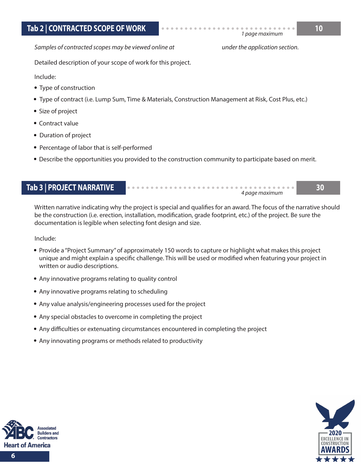*Samples of contracted scopes may be viewed online at*

*under the application section.*

*4 page maximum*

*1 page maximum*

Detailed description of your scope of work for this project.

Include:

- Type of construction
- Type of contract (i.e. Lump Sum, Time & Materials, Construction Management at Risk, Cost Plus, etc.)
- Size of project
- Contract value
- Duration of project
- Percentage of labor that is self-performed
- Describe the opportunities you provided to the construction community to participate based on merit.

### **Tab 3 | PROJECT NARRATIVE 30**

Written narrative indicating why the project is special and qualifies for an award. The focus of the narrative should be the construction (i.e. erection, installation, modification, grade footprint, etc.) of the project. Be sure the documentation is legible when selecting font design and size.

Include:

- Provide a "Project Summary" of approximately 150 words to capture or highlight what makes this project unique and might explain a specific challenge. This will be used or modified when featuring your project in written or audio descriptions.
- Any innovative programs relating to quality control
- Any innovative programs relating to scheduling
- Any value analysis/engineering processes used for the project
- Any special obstacles to overcome in completing the project
- Any difficulties or extenuating circumstances encountered in completing the project
- Any innovating programs or methods related to productivity



**6**

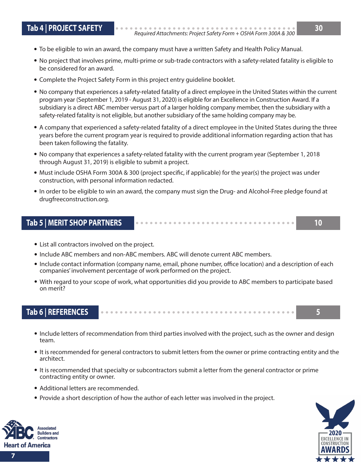- 
- To be eligible to win an award, the company must have a written Safety and Health Policy Manual.
- No project that involves prime, multi-prime or sub-trade contractors with a safety-related fatality is eligible to be considered for an award.
- Complete the Project Safety Form in this project entry guideline booklet.
- No company that experiences a safety-related fatality of a direct employee in the United States within the current program year (September 1, 2019 - August 31, 2020) is eligible for an Excellence in Construction Award. If a subsidiary is a direct ABC member versus part of a larger holding company member, then the subsidiary with a safety-related fatality is not eligible, but another subsidiary of the same holding company may be.
- A company that experienced a safety-related fatality of a direct employee in the United States during the three years before the current program year is required to provide additional information regarding action that has been taken following the fatality.
- No company that experiences a safety-related fatality with the current program year (September 1, 2018 through August 31, 2019) is eligible to submit a project.
- Must include OSHA Form 300A & 300 (project specific, if applicable) for the year(s) the project was under construction, with personal information redacted.
- In order to be eligible to win an award, the company must sign the Drug- and Alcohol-Free pledge found at drugfreeconstruction.org.

#### **Tab 5 | MERIT SHOP PARTNERS 10**

- List all contractors involved on the project.
- Include ABC members and non-ABC members. ABC will denote current ABC members.
- Include contact information (company name, email, phone number, office location) and a description of each companies' involvement percentage of work performed on the project.
- With regard to your scope of work, what opportunities did you provide to ABC members to participate based on merit?

#### **Tab 6 | REFERENCES 5**

- Include letters of recommendation from third parties involved with the project, such as the owner and design team.
- It is recommended for general contractors to submit letters from the owner or prime contracting entity and the architect.
- It is recommended that specialty or subcontractors submit a letter from the general contractor or prime contracting entity or owner.
- Additional letters are recommended.
- Provide a short description of how the author of each letter was involved in the project.



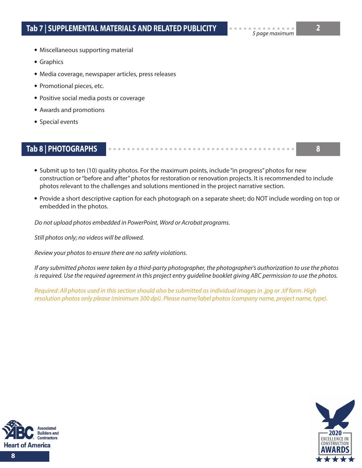- Miscellaneous supporting material
- Graphics
- Media coverage, newspaper articles, press releases
- Promotional pieces, etc.
- Positive social media posts or coverage
- Awards and promotions
- Special events

### **Tab 8 | PHOTOGRAPHS 8**

• Submit up to ten (10) quality photos. For the maximum points, include "in progress" photos for new construction or "before and after" photos for restoration or renovation projects. It is recommended to include photos relevant to the challenges and solutions mentioned in the project narrative section.

Provide a short descriptive caption for each photograph on a separate sheet; do NOT include wording on top or embedded in the photos.

*Do not upload photos embedded in PowerPoint, Word or Acrobat programs.*

*Still photos only; no videos will be allowed.*

*Review your photos to ensure there are no safety violations.*

*If any submitted photos were taken by a third-party photographer, the photographer's authorization to use the photos is required. Use the required agreement in this project entry guideline booklet giving ABC permission to use the photos.*

*Required: All photos used in this section should also be submitted as individual images in .jpg or .tif form. High resolution photos only please (minimum 300 dpi). Please name/label photos (company name, project name, type).*



**8**

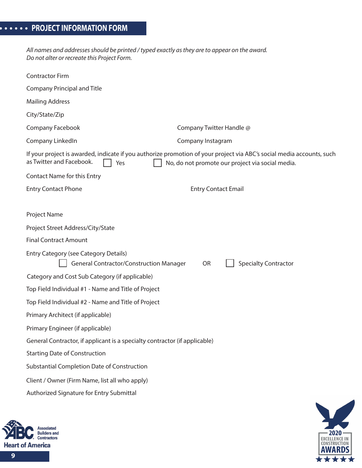*All names and addresses should be printed / typed exactly as they are to appear on the award. Do not alter or recreate this Project Form.*

| <b>Contractor Firm</b>                                                                         |                                                                                                                                                                           |
|------------------------------------------------------------------------------------------------|---------------------------------------------------------------------------------------------------------------------------------------------------------------------------|
| <b>Company Principal and Title</b>                                                             |                                                                                                                                                                           |
| <b>Mailing Address</b>                                                                         |                                                                                                                                                                           |
| City/State/Zip                                                                                 |                                                                                                                                                                           |
| Company Facebook                                                                               | Company Twitter Handle @                                                                                                                                                  |
| Company LinkedIn                                                                               | Company Instagram                                                                                                                                                         |
| as Twitter and Facebook.<br>Yes                                                                | If your project is awarded, indicate if you authorize promotion of your project via ABC's social media accounts, such<br>No, do not promote our project via social media. |
| <b>Contact Name for this Entry</b>                                                             |                                                                                                                                                                           |
| <b>Entry Contact Phone</b>                                                                     | <b>Entry Contact Email</b>                                                                                                                                                |
|                                                                                                |                                                                                                                                                                           |
| Project Name                                                                                   |                                                                                                                                                                           |
| Project Street Address/City/State                                                              |                                                                                                                                                                           |
| <b>Final Contract Amount</b>                                                                   |                                                                                                                                                                           |
| <b>Entry Category (see Category Details)</b><br><b>General Contractor/Construction Manager</b> | <b>Specialty Contractor</b><br><b>OR</b>                                                                                                                                  |
| Category and Cost Sub Category (if applicable)                                                 |                                                                                                                                                                           |
| Top Field Individual #1 - Name and Title of Project                                            |                                                                                                                                                                           |
| Top Field Individual #2 - Name and Title of Project                                            |                                                                                                                                                                           |
| Primary Architect (if applicable)                                                              |                                                                                                                                                                           |
| Primary Engineer (if applicable)                                                               |                                                                                                                                                                           |
| General Contractor, if applicant is a specialty contractor (if applicable)                     |                                                                                                                                                                           |
| <b>Starting Date of Construction</b>                                                           |                                                                                                                                                                           |
| Substantial Completion Date of Construction                                                    |                                                                                                                                                                           |
| Client / Owner (Firm Name, list all who apply)                                                 |                                                                                                                                                                           |
| Authorized Signature for Entry Submittal                                                       |                                                                                                                                                                           |
|                                                                                                |                                                                                                                                                                           |



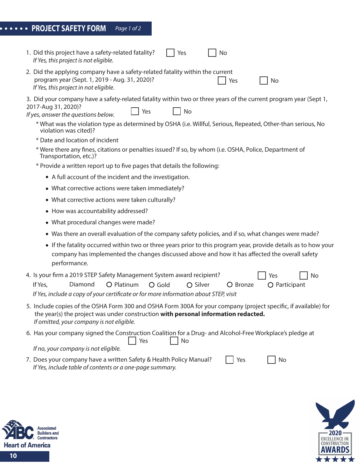| ••••• PROJECT SAFETY FORM Page 1 of 2 |  |
|---------------------------------------|--|
|---------------------------------------|--|

| 1. Did this project have a safety-related fatality?<br>Yes<br>No<br>If Yes, this project is not eligible.                                                                                                                                          |
|----------------------------------------------------------------------------------------------------------------------------------------------------------------------------------------------------------------------------------------------------|
| 2. Did the applying company have a safety-related fatality within the current<br>program year (Sept. 1, 2019 - Aug. 31, 2020)?<br>Yes<br>No<br>If Yes, this project in not eligible.                                                               |
| 3. Did your company have a safety-related fatality within two or three years of the current program year (Sept 1,<br>2017-Aug 31, 2020)?<br>Yes<br>No<br>If yes, answer the questions below.                                                       |
| * What was the violation type as determined by OSHA (i.e. Willful, Serious, Repeated, Other-than serious, No<br>violation was cited)?                                                                                                              |
| * Date and location of incident                                                                                                                                                                                                                    |
| * Were there any fines, citations or penalties issued? If so, by whom (i.e. OSHA, Police, Department of<br>Transportation, etc.)?                                                                                                                  |
| * Provide a written report up to five pages that details the following:                                                                                                                                                                            |
| • A full account of the incident and the investigation.                                                                                                                                                                                            |
| • What corrective actions were taken immediately?                                                                                                                                                                                                  |
| • What corrective actions were taken culturally?                                                                                                                                                                                                   |
| • How was accountability addressed?                                                                                                                                                                                                                |
| • What procedural changes were made?                                                                                                                                                                                                               |
| • Was there an overall evaluation of the company safety policies, and if so, what changes were made?                                                                                                                                               |
| • If the fatality occurred within two or three years prior to this program year, provide details as to how your<br>company has implemented the changes discussed above and how it has affected the overall safety<br>performance.                  |
| 4. Is your firm a 2019 STEP Safety Management System award recipient?<br>Yes<br>No                                                                                                                                                                 |
| O Platinum<br>If Yes,<br>Diamond<br>O Gold<br>O Silver<br>O Bronze<br>O Participant                                                                                                                                                                |
| If Yes, include a copy of your certificate or for more information about STEP, visit                                                                                                                                                               |
| 5. Include copies of the OSHA Form 300 and OSHA Form 300A for your company (project specific, if available) for<br>the year(s) the project was under construction with personal information redacted.<br>If omitted, your company is not eligible. |
| 6. Has your company signed the Construction Coalition for a Drug- and Alcohol-Free Workplace's pledge at<br>Yes<br>No                                                                                                                              |
| If no, your company is not eligible.                                                                                                                                                                                                               |
| 7. Does your company have a written Safety & Health Policy Manual?<br>Yes<br>No<br>If Yes, include table of contents or a one-page summary.                                                                                                        |
|                                                                                                                                                                                                                                                    |

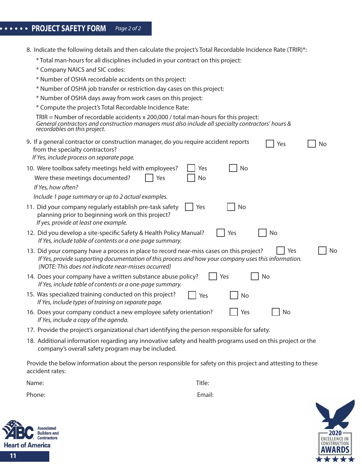## **PROJECT SAFETY FORM** *Page 2 of 2*

| 8. Indicate the following details and then calculate the project's Total Recordable Incidence Rate (TRIR)*:                                                                                                                                                         |
|---------------------------------------------------------------------------------------------------------------------------------------------------------------------------------------------------------------------------------------------------------------------|
| * Total man-hours for all disciplines included in your contract on this project:                                                                                                                                                                                    |
| * Company NAICS and SIC codes:                                                                                                                                                                                                                                      |
| * Number of OSHA recordable accidents on this project:                                                                                                                                                                                                              |
| * Number of OSHA job transfer or restriction day cases on this project:                                                                                                                                                                                             |
| * Number of OSHA days away from work cases on this project:                                                                                                                                                                                                         |
| * Compute the project's Total Recordable Incidence Rate:                                                                                                                                                                                                            |
| TRIR = Number of recordable accidents $x$ 200,000 / total man-hours for this project:<br>General contractors and construction managers must also include all specialty contractors' hours &<br>recordables on this project.                                         |
| 9. If a general contractor or construction manager, do you require accident reports<br>Yes<br>No<br>from the specialty contractors?<br>If Yes, include process on separate page.                                                                                    |
| No<br>10. Were toolbox safety meetings held with employees?<br>Yes                                                                                                                                                                                                  |
| Were these meetings documented?<br>No<br>Yes                                                                                                                                                                                                                        |
| If Yes, how often?                                                                                                                                                                                                                                                  |
| Include 1 page summary or up to 2 actual examples.                                                                                                                                                                                                                  |
| <b>No</b><br>11. Did your company regularly establish pre-task safety<br>Yes<br>planning prior to beginning work on this project?<br>If yes, provide at least one example.                                                                                          |
| 12. Did you develop a site-specific Safety & Health Policy Manual?<br>Yes<br>No<br>If Yes, include table of contents or a one-page summary.                                                                                                                         |
| 13. Did your company have a process in place to record near-miss cases on this project?<br>Yes<br>No<br>If Yes, provide supporting documentation of this process and how your company uses this information.<br>{NOTE: This does not indicate near-misses occurred} |
| 14. Does your company have a written substance abuse policy?<br>No<br>Yes<br>If Yes, include table of contents or a one-page summary.                                                                                                                               |
| 15. Was specialized training conducted on this project?<br>Yes<br>No<br>If Yes, include types of training on separate page.                                                                                                                                         |
| 16. Does your company conduct a new employee safety orientation?<br>No<br>Yes<br>If Yes, include a copy of the agenda.                                                                                                                                              |
| 17. Provide the project's organizational chart identifying the person responsible for safety.                                                                                                                                                                       |
| 18. Additional information regarding any innovative safety and health programs used on this project or the<br>company's overall safety program may be included.                                                                                                     |

Provide the below information about the person responsible for safety on this project and attesting to these accident rates:

Name: Title:

Phone: Email: